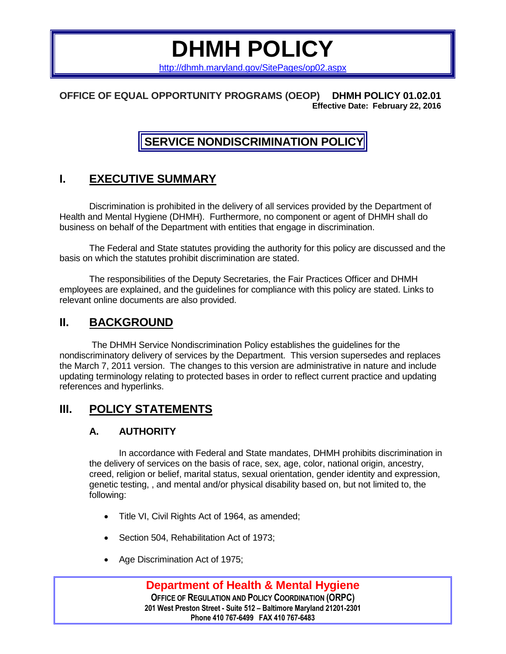# **DHMH POLICY**

<http://dhmh.maryland.gov/SitePages/op02.aspx>

#### **OFFICE OF EQUAL OPPORTUNITY PROGRAMS (OEOP) DHMH POLICY 01.02.01 Effective Date: February 22, 2016**

# **SERVICE NONDISCRIMINATION POLICY**

# **I. EXECUTIVE SUMMARY**

Discrimination is prohibited in the delivery of all services provided by the Department of Health and Mental Hygiene (DHMH). Furthermore, no component or agent of DHMH shall do business on behalf of the Department with entities that engage in discrimination.

The Federal and State statutes providing the authority for this policy are discussed and the basis on which the statutes prohibit discrimination are stated.

The responsibilities of the Deputy Secretaries, the Fair Practices Officer and DHMH employees are explained, and the guidelines for compliance with this policy are stated. Links to relevant online documents are also provided.

## **II. BACKGROUND**

The DHMH Service Nondiscrimination Policy establishes the guidelines for the nondiscriminatory delivery of services by the Department. This version supersedes and replaces the March 7, 2011 version. The changes to this version are administrative in nature and include updating terminology relating to protected bases in order to reflect current practice and updating references and hyperlinks.

## **III. POLICY STATEMENTS**

#### **A. AUTHORITY**

In accordance with Federal and State mandates, DHMH prohibits discrimination in the delivery of services on the basis of race, sex, age, color, national origin, ancestry, creed, religion or belief, marital status, sexual orientation, gender identity and expression, genetic testing, , and mental and/or physical disability based on, but not limited to, the following:

- Title VI, Civil Rights Act of 1964, as amended;
- Section 504, Rehabilitation Act of 1973;
- Age Discrimination Act of 1975;

**Department of Health & Mental Hygiene OFFICE OF REGULATION AND POLICY COORDINATION (ORPC) 201 West Preston Street - Suite 512 – Baltimore Maryland 21201-2301 Phone 410 767-6499 FAX 410 767-6483**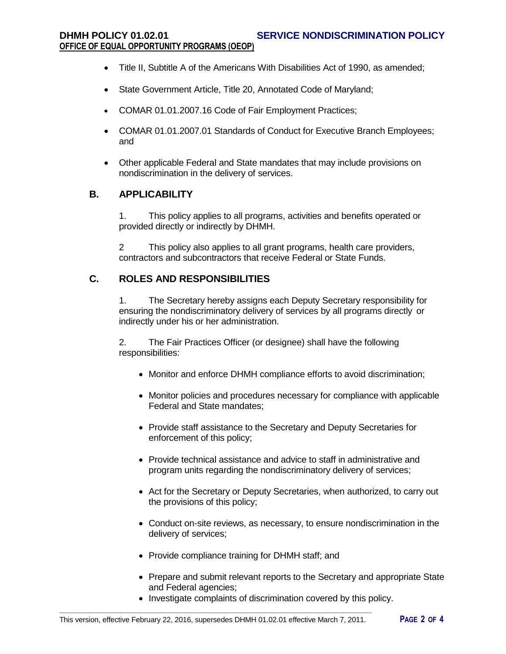- Title II, Subtitle A of the Americans With Disabilities Act of 1990, as amended;
- State Government Article, Title 20, Annotated Code of Maryland;
- COMAR 01.01.2007.16 Code of Fair Employment Practices;
- COMAR 01.01.2007.01 Standards of Conduct for Executive Branch Employees; and
- Other applicable Federal and State mandates that may include provisions on nondiscrimination in the delivery of services.

#### **B. APPLICABILITY**

1. This policy applies to all programs, activities and benefits operated or provided directly or indirectly by DHMH.

2 This policy also applies to all grant programs, health care providers, contractors and subcontractors that receive Federal or State Funds.

#### **C. ROLES AND RESPONSIBILITIES**

1. The Secretary hereby assigns each Deputy Secretary responsibility for ensuring the nondiscriminatory delivery of services by all programs directly or indirectly under his or her administration.

2. The Fair Practices Officer (or designee) shall have the following responsibilities:

- Monitor and enforce DHMH compliance efforts to avoid discrimination;
- Monitor policies and procedures necessary for compliance with applicable Federal and State mandates;
- Provide staff assistance to the Secretary and Deputy Secretaries for enforcement of this policy;
- Provide technical assistance and advice to staff in administrative and program units regarding the nondiscriminatory delivery of services;
- Act for the Secretary or Deputy Secretaries, when authorized, to carry out the provisions of this policy;
- Conduct on-site reviews, as necessary, to ensure nondiscrimination in the delivery of services;
- Provide compliance training for DHMH staff; and
- Prepare and submit relevant reports to the Secretary and appropriate State and Federal agencies;
- Investigate complaints of discrimination covered by this policy.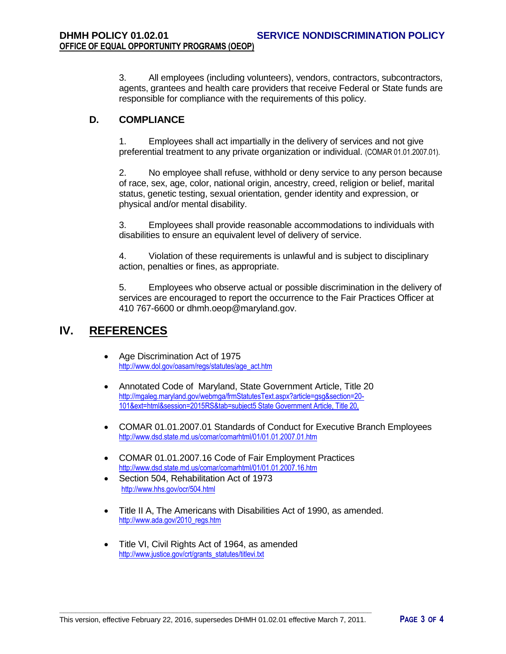3. All employees (including volunteers), vendors, contractors, subcontractors, agents, grantees and health care providers that receive Federal or State funds are responsible for compliance with the requirements of this policy.

#### **D. COMPLIANCE**

1. Employees shall act impartially in the delivery of services and not give preferential treatment to any private organization or individual. (COMAR 01.01.2007.01).

2. No employee shall refuse, withhold or deny service to any person because of race, sex, age, color, national origin, ancestry, creed, religion or belief, marital status, genetic testing, sexual orientation, gender identity and expression, or physical and/or mental disability.

3. Employees shall provide reasonable accommodations to individuals with disabilities to ensure an equivalent level of delivery of service.

4. Violation of these requirements is unlawful and is subject to disciplinary action, penalties or fines, as appropriate.

5. Employees who observe actual or possible discrimination in the delivery of services are encouraged to report the occurrence to the Fair Practices Officer at 410 767-6600 or dhmh.oeop@maryland.gov.

# **IV. REFERENCES**

- Age Discrimination Act of 1975 [http://www.dol.gov/oasam/regs/statutes/age\\_act.htm](http://www.dol.gov/oasam/regs/statutes/age_act.htm)
- Annotated Code of Maryland, State Government Article, Title 20 [http://mgaleg.maryland.gov/webmga/frmStatutesText.aspx?article=gsg&section=20-](http://mgaleg.maryland.gov/webmga/frmStatutesText.aspx?article=gsg§ion=20-101&ext=html&session=2015RS&tab=subject5%20State%20Government%20Article,%20Title%2020,) [101&ext=html&session=2015RS&tab=subject5](http://mgaleg.maryland.gov/webmga/frmStatutesText.aspx?article=gsg§ion=20-101&ext=html&session=2015RS&tab=subject5%20State%20Government%20Article,%20Title%2020,) State Government Article, Title 20,
- COMAR 01.01.2007.01 Standards of Conduct for Executive Branch Employees [http://www.dsd.state.md.us/comar/comarhtml/01/01.01.2007.01.htm](http://www.gov.state.md.us/executiveorders/01.07.01StandardsOfConduct.pdf)
- COMAR 01.01.2007.16 Code of Fair Employment Practices <http://www.dsd.state.md.us/comar/comarhtml/01/01.01.2007.16.htm>
- Section 504, Rehabilitation Act of 1973 <http://www.hhs.gov/ocr/504.html>
- Title II A, The Americans with Disabilities Act of 1990, as amended. [http://www.ada.gov/2010\\_regs.htm](http://www.ada.gov/2010_regs.htm)
- Title VI, Civil Rights Act of 1964, as amended [http://www.justice.gov/crt/grants\\_statutes/titlevi.txt](http://www.justice.gov/crt/grants_statutes/titlevi.txt)